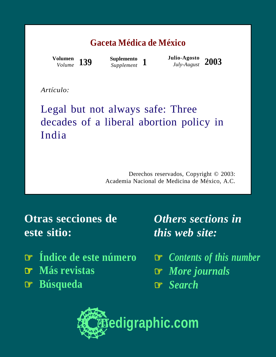#### **Gaceta Médica de México**

*Volume* **139**

**Suplemento**

*Supplement* **<sup>1</sup> Julio-Agosto** *July-August* **2003 Volumen**

*Artículo:*

### Legal but not always safe: Three decades of a liberal abortion policy in India

Derechos reservados, Copyright © 2003: Academia Nacional de Medicina de México, A.C.

**Otras secciones de este sitio:**

- ☞ **[Índice de este número](http://www.medigraphic.com/espanol/e-htms/e-gaceta/e-gm2003/e-gms03-1/e1-gms031.htm)**
- ☞ **[Más revistas](http://www.medigraphic.com/espanol/e1-indic.htm)**
- ☞ **[Búsqueda](http://www.medigraphic.com/espanol/e-buscar/e1-busca.htm)**

*Others sections in this web site:*

☞ *[Contents of this number](http://www.medigraphic.com/ingles/i-htms/i-gaceta/i-gm2003/i-gms03-1/i1-gms031.htm)* ☞ *[More journals](http://www.medigraphic.com/ingles/i1-indic.htm)* ☞ *[Search](http://www.medigraphic.com/ingles/i-buscar/i1-busca.htm)*

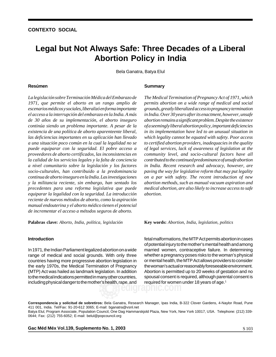# **Legal but Not Always Safe: Three Decades of a Liberal The medicine medicy in India**

medigraphic medigraphic medigraphic medigraphic medigraphic medigraphic medigraphic medigraphic Bela Ganatra, Batya Elul

#### medigraphic medigraphic medigraphic medigraphic medigraphic medigraphic medigraphic medigraphic medigraphic medigraphic medigraphic medigraphic medigraphic medigraphic medigraphic medigraphic medigraphic medigraphic medigr **Resúmen**

1971, que permite el aborto en un rango amplio de medigraphic medigraphic medigraphic medigraphic *escenarios médicos y sociales, liberalizó en forma importante* medigraphic medigraphic medigraphic medigraphic *de 30 años de su implementación, el aborto inseguro* medigraphic medigraphic medigraphic medigraphic *continúa siendo un problema importante. A pesar de la* existencia de una política de aborto aparenteente liberal, medigraphic medigraphic medigraphic medigraphic las deficiencias importantes en su aplicación han llevado medigraphic medigraphic medigraphic medigraphic medigraphic medigraphic medigraphic medigraphic *puede equiparar con la seguridad. El pobre acceso a* medigraphic medigraphic medigraphic medigraphic medigraphic medigraphic medigraphic medigraphic *proveedores de aborto certificados, las inconsistencias en* medigraphic medigraphic medigraphic medigraphic medigraphic medigraphic medigraphic medigraphic *a nivel comunitario sobre la legislación y los factores* medigraphic medigraphic medigraphic medigraphic medigraphic medigraphic medigraphic medigraphic *socio-culturales, han contribuido a la predominancia* medigraphic medigraphic medigraphic medigraphic medigraphic medigraphic medigraphic medigraphic *y la militancia reciente, sin embargo, han sentado los .*<br>precedentes para una reforma legislativa que puede equiparar la legalidad con la seguridad. La introducción medigraphic medigraphic medigraphic medigraphic *a una situación poco común en la cual la legalidad no se* la calidad de los servicios legales y la falta de conciencia medigraphic medigraphic medigraphic medigraphic *continua de aborto inseguro en la India. Las investigaciones* reciente de nuevos métodos de aborto, como la aspiración manual endouterina y el aborto médico tienen el potencial de incrementar el acceso a métodos seguros de aborto. *La legislación sobre Terminación Médica del Embarazo de el acceso a la interrupción del embarazo en la India. A más*

medigraphic medigraphic medigraphic medigraphic **Palabras clave:** *Aborto, India, política, legislación*

medigraphic medigraphic medigraphic medigraphic **Summary**

permits abortion on a wide range of medical and social medigraphic medigraphic medigraphic medigraphic *grounds, greatly liberalized access to pregnancy termination* medigraphic medigraphic medigraphic medigraphic *abortion remains a significant problem. Despite the existence* medigraphic medigraphic medigraphic medigraphic *of a seemingly liberal abortion policy, important deficiencies in its implementation have led to an unusual situation in*  $\mathbf{r}$  medigraphic medigraphic medigraphic medigraphic medigraphic medigraphic medigraphic medigraphic medigraphic medigraphic medigraphic medigraphic medigraphic medigraphic medigraphic medigraphic medigraphic medigrap which legality cannot be equated with safety. Poor access of legal services, lack of awareness of legislation at the community level, and socio-cultural factors have all *in India. Recent research and advocacy, however, are* paving the way for legislative reform that may put legality medigraphic medigraphic medigraphic medigraphic medigraphic medigraphic medigraphic medigraphic *abortion methods, such as manual vacuum aspiration and* medigraphic medigraphic medigraphic medigraphic medigraphic medigraphic medigraphic medigraphic *medical abortion, are also likely to increase access to safe*  $\mathbf{m}$ to certified abortion providers, inadequacies in the quality  $control to the continued predominance of unsafeaboration$ medigraphic medigraphic medigraphic medigraphic *on a par with safety. The recent introduction of new* medigraphic medigraphic medigraphic medigraphic *abortion. The Medical Termination of Pregnancy Act of 1971, which in India. Over 30 years after its enactment, however, unsafe*

 $\mathbf{v}$  medigraphic medigraphic medigraphic medigraphic mediators  $\mathbf{v}$ **Key words:** *Abortion, India, legislation, politics*

#### medigraphic medigraphic medigraphic medigraphic **Introduction**

In 1971, the Indian Parliament legalized abortion on a wide range of medical and social grounds. With only three countries having more progressive abortion legislation in the early 1970s, the Medical Termination of Pregnancy (MTP) Act was hailed as landmark legislation. In addition including physical danger to the mother's health, rape, and to the medical indications permitted in many other countries,

fetal malformations, the MTP Act permits abortion in cases married women, contraceptive failure. In determining whether a pregnancy poses risks to the woman's physical or mental health, the MTP Act allows providers to consider the woman's actual or reasonably foreseeable environment. Abortion is permitted up to 20 weeks of gestation and no required for women under 18 years of age.<sup>1</sup> **edigraphic.com** of potential injury to the mother's mental health and among spousal consent is required, although parental consent is

Correspondencia y solicitud de sobretiros: Bela Ganatra, Research Manager, Ipas India, B-322 Clover Gardens, 4-Naylor Road, Pune Batya Elul, Program Associate, Population Council, One Dag Hammarskjold Plaza, New York, New York 10017, USA. Telephone: (212) 339-411 001, India. Tel/Fax: 91-20-612 3065; E-mail: bganatra@vsnl.net

**Gac Méd Méx Vol.139, Suplemento No. 1, 2003** Material Material States of States States States States States States

0644; Fax: (212) 755-6052; E-mail: belul@popcouncil.org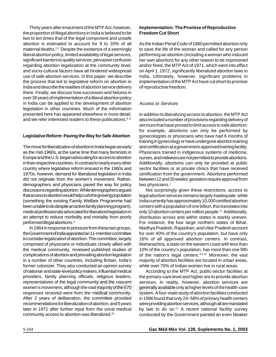Thirty years after enactment of the MTP Act, however, the proportion of illegal abortions in India is believed to be two to ten times that of the legal component and unsafe abortion is estimated to account for 9 to 20% of all maternal deaths.<sup>2-7</sup> Despite the existence of a seemingly liberal abortion policy, limited availability of legal services, regarding abortion legalization at the community level, and socio-cultural factors have all hindered widespread use of safe abortion services. In this paper, we describe the process that led to legislative reform on abortion in India and describe the realities of abortion service delivery there. Finally, we discuss how successes and failures in in India can be applied to the development of abortion legislation in other countries. Much of the information and we refer interested readers to these publications.8,9 significant barriers to quality services, pervasive confusion over 30 years of implementation of a liberal abortion policy presented here has appeared elsewhere in more detail,

### Legislative Reform: Paving the Way for Safe Abortion

The move for liberalization of abortion in India began as early Europe and the U.S. began advocating for access to abortion in their respective countries. In contrast to nearly every other country where legislative reform ensued in the 1960s and 1970s, however, demand for liberalized legislation in India did not originate from the women's movement. Rather, demographers and physicians paved the way for policy that access to abortion would help curb the growing population medical communications in construction media of galaxie cally, as the mid-1960s, at the same time that many feminists in discussions regarding abortion. While demographers argued (something the existing Family Welfare Programme had been unable to do despite an active family planning program), medical professionals advocated for liberalized legislation in an attempt to reduce morbidity and mortality from poorly performed illegal abortions.4

medigraphic medigraphic medigraphic medigraphic In 1964 in response to pressure from these two groups, the Government of India appointed an 11-member committee to consider legalization of abortion. The committee, largely the medical community, reviewed published studies of complications of abortion and prevailing abortion legislation in a number of other countries, including Britain, India's former colonizer. They also conducted an opinion survey of national- and state-level policy makers, influential medical representatives of the legal community and the nascent women's movement, although the vast majority of the 570 responses received were from the medical community. After 2 years of deliberation, the committee provided recommendations for liberalization of abortion, and 5 years later in 1971 after further input from the vocal medical community access to abortion was liberalized. $^{10}$ comprised of physicians or individuals closely allied with providers, family planning officials, religious leaders,

### **Implementation: The Promise of Reproductive Freedom Cut Short**

performing an abortion (including a woman who induced As the Indian Penal Code of 1860 permitted abortion only to save the life of the woman and called for any person and/or fined, the MTP Act of 1971, which went into effect on April 1, 1972, significantly liberalized abortion laws in India. Ultimately, however, significant problems in implementation of the MTP Act have cut short its promise of reproductive freedom. her own abortion) for any other reason to be imprisoned

# Access to Services

also included a number of provisions regarding delivery of services that have proved to limit access to safe abortion: for example, abortions can only be performed by gynecologists or physicians who have had 6 months of training in gynecology or have undergone abortion training and certification at a government-approved training facility. nurses, and midwives are not permitted to provide abortions. Additionally, abortions can only be provided at public sector facilities or at private clinics that have received certification from the government. Abortions performed between 12 and 20 weeks' gestation require approval from two physicians. $^1$ meddigraphic medigraphic medigraphic medigraphic medicine,<br>Physicians trained in indigenous systems of medicine, In addition to liberalizing access to abortion, the MTP Act

legal abortion services remains largely inadequate: while Not surprisingly given these restrictions, access to India currently has approximately 10,000 certified abortion centers with a population of one billion, this translates into only 10 abortion centers per million people.<sup>11</sup> Additionally, distribution across and within states is starkly uneven. For instance, the four large northern states of Bihar, for over 40% of the country's population, but have only 16% of all approved abortion centers. In contrast, 10% of the country's population, has more than one fifth of the nation's legal centers. $3,4,12$  Moreover, the vast majority of abortion facilities are located in urban areas, while over 70% of Indian women live in rural areas. Madhya Pradesh, Rajasthan, and Uttar Pradesh account Maharashtra, a state on the western coast with less than

According to the MTP Act, public-sector facilities at services. In reality, however, abortion services are **example:**<br>**edigraphic medicines** and designation of the health-care completed at the health-care and unto designation of the health-care</u> system. A four-state study of abortion facilities conducted in 1996 found that only 24–58% of primary health centers were providing abortion services, although all are mandated by law to do so.<sup>11</sup> A recent national facility survey conducted by the Government painted an even bleaker the primary-care level and higher are to provide abortion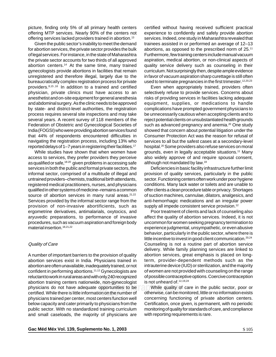picture, finding only 5% of all primary health centers offering MTP services. Nearly 90% of the centers not offering services lacked providers trained in abortion.<sup>13</sup>

Given the public sector's inability to meet the demand for abortion services, the private sector provides the bulk of legal services. For instance, in the state of Maharashtra abortion centers.<sup>14</sup> At the same time, many trained gynecologists provide abortions in facilities that remain unregistered and therefore illegal, largely due to the bureaucratically complex registration process for private providers.<sup>8,15,16</sup> In addition to a trained and certified physician, private clinics must have access to an and abdominal surgery. As the clinic needs to be approved by state- and district-level authorities, the registration .<br>several years. A recent survey of 118 members of the Federation of Obstetric and Gynecological Societies of India (FOGSI) who were providing abortion services found that 44% of respondents encountered difficulties in navigating the registration process, including 13% who reported delays of 1–7 years in registering their facilities.<sup>17</sup> the private sector accounts for two thirds of all approved anesthetist and on-site equipment for general anesthesia process requires several site inspections and may take

access to services, they prefer providers they perceive as qualified or safe,<sup>18-20</sup> given problems in accessing safe services in both the public and formal private sectors, the informal sector, comprised of a multitude of illegal and untrained providers-chemists, traditional birth attendants, registered medical practitioners, nurses, and physicians source of abortion services in many rural areas.<sup>21,22</sup> While studies have shown that when women have qualified in other systems of medicine–remains a common Services provided by the informal sector range from the provision of non-invasive abortificients, such as ergometrine derivatives, antimalarials, oxytocics, and aryuvedic preparations, to performance of invasive  $m$ aterial insertion.<sup>18,21,22</sup> procedures, such as vacuum aspiration and foreign body

#### medigraphic medigraphic medigraphic medigraphic Quality of Care

A number of important barriers to the provision of quality abortion services exist in India. Physicians trained in abortion are often unavailable, inadequately trained, or not confident in performing abortions.<sup>11,12</sup> Gynecologists are abortion training centers nationwide, non-gynecologist physicians do not have adequate opportunities to be certified. While there is little information on the number of physicians trained per center, most centers function well below capacity and cater primarily to physicians from the public sector. With no standardized training curriculum and small caseloads, the majority of physicians are reluctant to work in rural areas and with only 240 recognized

Furthermore, few training centers include manual vacuum certified without having received sufficient practical experience to confidently and safely provide abortion services. Indeed, one study in Maharashtra revealed that trainees assisted in or performed an average of 12–13 abortions, as opposed to the prescribed norm of  $25.^{11}$ quality service delivery such as counseling in their curriculum. Not surprisingly then, despite ample evidence in favor of vacuum aspiration sharp curettage is still often used to terminate pregnancies in the first trimester.<sup>12,20,23</sup> aspiration, medical abortion, or non-clinical aspects of

Even when appropriately trained, providers often selectively refuse to provide services. Concerns about equipment, supplies, or medications to handle complications have prompted government physicians to reject potential clients on unsubstantiated health grounds such as advanced pregnancy and anemia.<sup>20</sup> One study showed that concern about potential litigation under the Consumer Protection Act was the reason for refusal of services to all but the safest cases at a secondary-level hospital.<sup>20</sup> Some providers also refuse services on moral also widely approve of and require spousal consent, although not mandated by law.<sup>19</sup> grounds, even in legally acceptable situations.<sup>11</sup> Many risks of providing services in facilities lacking adequate be unnecessarily cautious when accepting clients and to

Deficiencies in basic facility infrastructure further limit provision of quality services, particularly in the public sector. Functioning centers often work under poor hygiene conditions. Many lack water or toilets and are unable to of suction machines, cannulae, dilators, analgesics, and offer clients a clean procedure table or privacy. Shortages anti-hemorrhagic medications and an irregular power supply all impede consistent service provision.<sup>12</sup>

Poor treatment of clients and lack of counseling also affect the quality of abortion services. Indeed, it is not uncommon for women seeking pregnancy termination to behavior, particularly in the public sector, where there is little incentive to invest in good client communication. $^{20,24}$ delivery. While family planning services are linked to abortion services, great emphasis is placed on longterm, provider-dependent methods such as the intrauterine device (IUD) or sterilization, and the majority of women are not provided with counseling on the range is not unheard of. $12,19,24$ experience judgmental, unsympathetic, or even abusive Counseling is not a routine part of abortion service of possible contraceptive options. Coercive contraception

es to be While quality of care in the public sector, poor or otherwise, can be monitored, little or no information exists concerning functioning of private abortion centers. Certification, once given, is permanent, with no periodic monitoring of quality for standards of care, and compliance with reporting requirements is rare.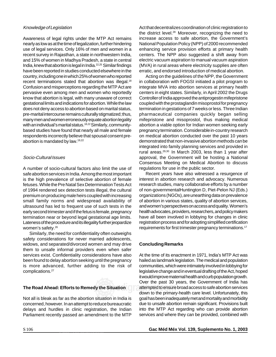### Knowledge of Legislation

Awareness of legal rights under the MTP Act remains nearly as low as at the time of legalization, further hindering use of legal services. Only 16% of men and women in a recent survey in Rajasthan, a state in northwestern India, India, knew that abortion is legal in India.<sup>22,25</sup> Similar findings have been reported in studies conducted elsewhere in the country, including one in which 25% of women who reported recent terminations stated that abortion was illegal.<sup>18</sup> Confusion and misperceptions regarding the MTP Act are pervasive even among men and women who reportedly gestational limits and indications for abortion. While the law does not deny access to abortion based on marital status, .<br>many men and women erroneously equate abortion legality with an individual's marital status.<sup>18,22</sup> Similarly, communitybased studies have found that nearly all male and female respondents incorrectly believe that spousal consent preabortion is mandated by law.<sup>19,22</sup> **arap** and 15% of women in Madhya Pradesh, a state in central know that abortion is legal, with many unaware of correct pre-marital intercourse remains culturally stigmatized; thus,

## Socio-Cultural Issues

A number of socio-cultural factors also limit the use of safe abortion services in India. Among the most important is the high prevalence of selective abortion of female fetuses. While the Pre Natal Sex Determination Tests Act premium on producing male heirs coupled with increasing of 1994 rendered sex detection tests illegal, the cultural small family norms and widespread availability of ultrasound has led to frequent use of such tests in the early second trimester and if the fetus is female, pregnancy termination near or beyond legal gestational age limits.  ${\sf Lateness}$  of the procedure and its illegality further jeopardize women's safety.<sup>26</sup>

Similarly, the need for confidentiality often outweighs safety considerations for never married adolescents, them to unsafe informal providers even when safer services exist. Confidentiality considerations have also been found to delay abortion seeking until the pregnancy is more advanced, further adding to the risk of  $complications.<sup>27</sup>$ widows, and separated/divorced women and may drive

# **The Road Ahead: Efforts to Remedy the Situation**

Not all is bleak as far as the abortion situation in India is concerned, however. In an attempt to reduce bureaucratic delays and hurdles in clinic registration, the Indian Parliament recently passed an amendment to the MTP

centers. The NPP also suggested a shift away from Act that decentralizes coordination of clinic registration to the district level.<sup>28</sup> Moreover, recognizing the need to increase access to safe abortion, the Government's National Population Policy (NPP) of 2000 recommended enhancing service provision efforts at primary health (MVA) in rural areas where electricity supplies are often erratic, and endorsed introduction of medical abortion. electric vacuum aspiration to manual vacuum aspiration

Acting on the guidelines of the NPP, the Government in collaboration with FOGSI initiated a pilot program to integrate MVA into abortion services at primary health centers in eight states. Similarly, in April 2002 the Drugs coupled with the prostaglandin misoprostol for pregnancy termination in gestations of 7 weeks or less. Three Indian mifepristone and misoprostol, thus making medical abortion a viable option for Indian women seeking early pregnancy termination. Considerable in-country research on medical abortion conducted over the past 10 years demonstrated that non-invasive abortion methods can be integrated into family planning services and provided in approval, the Government will be hosting a National Consensus Meeting on Medical Abortion to discuss regulations for use in the public sector. rural areas.<sup>29,30</sup> In March 2003, less than 1 year after Controller of India approved the antiprogestin mifepristone pharmaceutical companies quickly began selling

Recent years have also witnessed a resurgence of interest in abortion research and advocacy. Numerous research studies, many collaborative efforts by a number organizations (NGOs), are unearthing data on prevalence of non-governmentalHuntington D, Piet-Pelon NJ (Eds.) of abortion in various states, quality of abortion services, and women's perspectives on access and quality. Women's health advocates, providers, researchers, and policy makers have all been involved in lobbying for changes in clinic requirements for first trimester pregnancy terminations.<sup>17</sup> registration process and for adopting simplified certification

#### medigraphic medigraphic medigraphic medigraphic **Concluding Remarks**

At the time of its enactment in 1971, India's MTP Act was hailed as landmark legislation. The medical and population communities, which were intimately involved in lobbying for legislative change and in eventual drafting of the Act, hoped Over the past 30 years, the Government of India has **ation**<br>
attempted to ensure broad access to safe abortion services down to the primary-health care level. Unfortunately, this goal has been inadequately met and mortality and morbidity due to unsafe abortion remain significant. Provisions built into the MTP Act regarding who can provide abortion services and where they can be provided, combined with it would improve maternal health and curb population growth.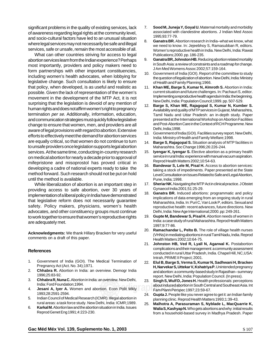significant problems in the quality of existing services, lack of awareness regarding legal rights at the community level, and socio-cultural factors have led to an unusual situation where legal services may not necessarily be safe and illegal services, safe or unsafe, remain the most accessible of all.

What can other countries striving for access to legal most importantly, providers and policy makers need to form partnerships with other important constituencies, including women's health advocates, when lobbying for legislative change. Such consultation is likely to ensure that policy, when developed, is as useful and realistic as possible. Given the lack of representation of the women's surprising that the legislation is devoid of any mention of human rights and does not affirm women's right to pregnancy and communication strategies must quickly follow legislative change to ensure that women, men, and providers are all aware of legal provisions with regard to abortion. Extensive efforts to effectively meet the demand for abortion services are equally critical, so that women do not continue to turn to unsafe providers once legislation supports legal abortion on medical abortion for nearly a decade prior to approval of mifepristone and misoprostol has proved critical in developing a cadre of national experts ready to take the method forward. Such research should not be put on hold until the method is available. services. At the same time, conducting in-country research abortion services learn from the Indian experience? Perhaps movement in the development of the MTP Act, it is not termination per se. Additionally, information, education,

While liberalization of abortion is an important step in implementation of a liberal policy in India have demonstrated providing access to safe abortion, over 30 years of that legislative reform does not necessarily guarantee safety. Policy makers, physicians, women's health advocates, and other constituency groups must continue to work together to ensure that women's reproductive rights medigraphic medigraphic medigraphic medigraphic are adequately met.

Acknowledgments: We thank Hillary Bracken for very useful medigraphic medigraphic medigraphic medigraphic comments on a draft of this paper.

#### medigraphic medigraphic medigraphic medigraphic medigraphic medigraphic medigraphic medigraphic medigraphic medigraphic medigraphic medigraphic medigraphic medigraphic medigraphic medigraphic medigraphic medigraphic medigr **References**

- medigraphic medicine medicine medicine.<br>Pregnancy Act (Act. No. 34);1971. 1. Government of India (GOI). The Medical Termination of
- 2. **Chhabra R.** Abortion in India: an overview. Demogr India 1996;25:83-92.
- 3. Chhabra R, Nuna C. Abortion in India: an overview. New Delhi, India: Ford Foundation;1994.
- 4. **Jesani A, Iyer A.** Women and abortion. Econ Polit Wkly medigraphic medigraphic medigraphic medigraphic 1993;28:2591-2594.
- 5. Indian Council of Medical Research (ICMR). Illegal abortion in rural areas: a task force study. New Delhi, India: ICMR;1989.
- 6. **Karkal M.** Abortion law and the abortion situation in India. Issues Reprod Genet Eng1991;4:223-230.
- 7. Sood M, Juneja Y, Goyal U. Maternal mortality and morbidity associated with clandestine abortions. J Indian Med Assoc medigraphic medigraphic medigraphic medigraphic 1995;93:77-79.
- Publications;2000. pp. 186-235. 8. **Ganatra BR.** Abortion research in India–what we know, what women's reproductive health in India. New Delhi, India: Rawat we need to know. In: Jejeebhoy S, Ramasubban R, editors.
- in South Asia: a review of constraints and a roadmap for change. 9. **Ganatra BR, Johnston HB.** Reducing abortion related mortality J Am Med Womens Assoc 2002;57:159-164.
- 10. Government of India (GOI). Report of the committee to study the question of legalization of abortion. New Delhi, India: Ministry of Health and Family Planning;1966.
- 11. Khan ME, Barge S, Kumar N, Almroth S. Abortion in India: medigraphic medigraphic medigraphic medigraphic Implementing a reproductive health agenda in India: the beginning. New Delhi, India: Population Council;1999. pp. 507-529. current situation and future challenges. In: Pachauri S, editor.
- Availability and quality of MTP services in Gujarat, Maharashtra, presented at the International Workshop on Abortion Facilities and Post-Abortion Care in the Context of RCH Programme. New medigraphic medigraphic medigraphic medigraphic Delhi, India;1998. 12. **Barge S, Khan ME, Rajagopal S, Kumar N, Kumber S.** Tamil Nadu and Uttar Pradesh: an in-depth study. Paper
- 13. Government of India (GOI). Facilities survey report. New Delhi, India: Ministry of Health and Family Welfare;1998.
- Maharashtra. Soc Change 1996;26:226-244. 14. **Barge S, Rajagopal S.** Situation analysis of MTP facilities in
- service in rural India: experience with manual vacuum aspiration. Reprod Health Matters 2002;10:54-63. 15. **Iyengar K, Iyengar S.** Elective abortion as a primary health
- 16. **Bandewar S, Lele M, Pisal H.** Access to abortion services: taking a stock of impediments. Paper presented at the State Level Consultation on Issues Related to Safe and Legal Abortion, Pune, India; 1998.
- 17. **Sheriar NK.** Navigating the MTP Act in clinical practice. J Obstet medigraphic medigraphic medigraphic medigraphic Gynaecol India 2001;51:25-29.
- 18. **Ganatra BR.** Induced abortions: programmatic and policy Maharashtra, India. In: Puri C, Van Look P, editors. Sexual and reproductive health: recent advances, future directions. New Delhi, India: New Age International;2000. pp: 249-261. implications of data emerging from an ongoing study in rural
- 19. **Gupte M, Bandewar S, Pisal H.** Abortion needs of women in medigraphic medigraphic medigraphic medigraphic 1997;9:77-86. India: a case study of rural Maharashtra. Reprod Health Matters
- (VHNs) in mediating abortions in rural Tamil Nadu, India. Reprod Health Matters 2002;10:64-75. 20. **Ramachandar L, Pelto B.** The role of village health nurses
- complications and their management: a community assessment conducted in rural Uttar Pradesh, India. Chapel Hill, NC,USA: Intrah, PRIME II Project; 2001. 21. **Johnston HB, Ved R, Lyall N, Agarwal K.** Postabortion
- 22. **Elul B, Barge S, Verma S, Kumar N, Sadhwani H, Bracken** and abortion: a community-based study in Rajasthan– summary **H, Narvekar S, Uttekar V, Kshatriya P.** Unintended pregnancy report. New Delhi, India: Population Council. (In press).
- 23. **Singh S, Wulf D, Jones H.** Health professionals: perceptions  $\Box$  about induced abortion in South Central and Southeast Asia. Int ebout induced abortion in South Cent<br>Fam Plann Perspec 1997;23:59-67.
	- 24. Gupta J. People like you never agree to get it: an Indian family planning clinic. Reprod Health Matters 1993;1:39-43.
	- 25. Malhotra A, Parasuraman S, Nyblade L, MacQuarrie K, **Walia S, Kashyap N.** Who gets abortions and why: initial results from a household-based survey in Madhya Pradesh. Paper